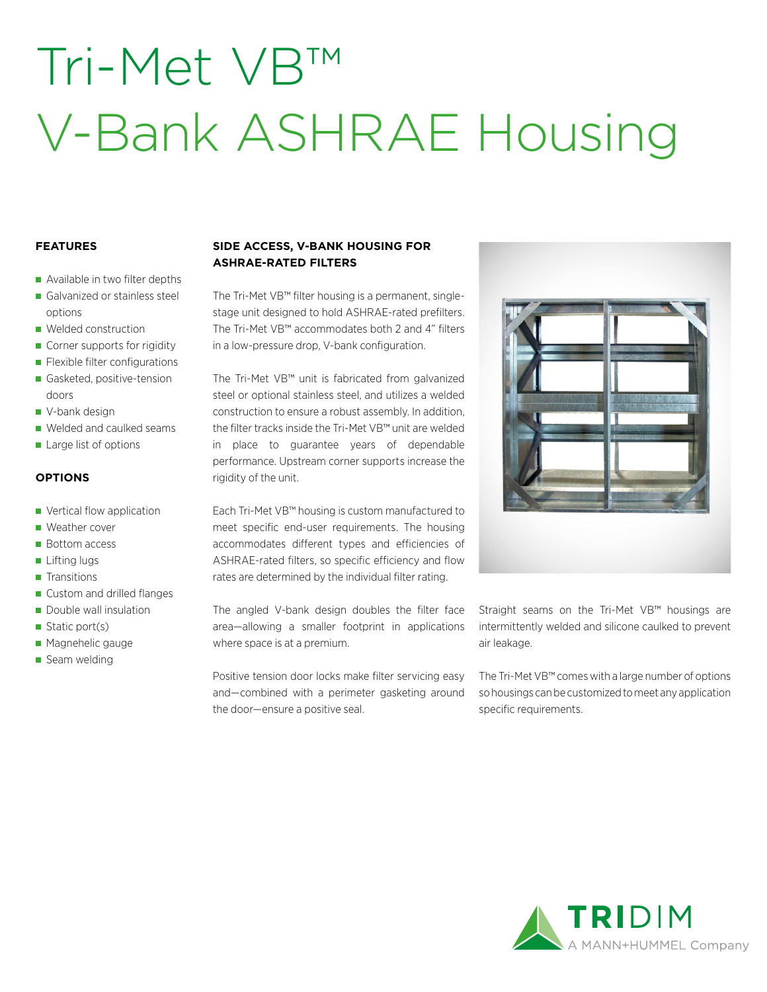# Tri-Met VB™ V-Bank ASHRAE Housing

### **FEATURES**

- Available in two filter depths
- Galvanized or stainless steel options
- **Welded construction**
- Corner supports for rigidity
- **Flexible filter configurations**
- Gasketed, positive-tension doors
- V-bank design
- Welded and caulked seams
- Large list of options

#### **OPTIONS**

- **vertical flow application**
- Weather cover
- **Bottom access**
- **Lifting lugs**
- **Transitions**
- Custom and drilled flanges
- Double wall insulation
- Static port(s)
- **Magnehelic gauge**
- Seam welding

## **SIDE ACCESS, V-BANK HOUSING FOR ASHRAE-RATED FILTERS**

The Tri-Met VB™ filter housing is a permanent, singlestage unit designed to hold ASHRAE-rated prefilters. The Tri-Met VB™ accommodates both 2 and 4" filters in a low-pressure drop, V-bank configuration.

The Tri-Met VB™ unit is fabricated from galvanized steel or optional stainless steel, and utilizes a welded construction to ensure a robust assembly. In addition, the filter tracks inside the Tri-Met VB™ unit are welded in place to guarantee years of dependable performance. Upstream corner supports increase the rigidity of the unit.

Each Tri-Met VB™ housing is custom manufactured to meet specific end-user requirements. The housing accommodates different types and efficiencies of ASHRAE-rated filters, so specific efficiency and flow rates are determined by the individual filter rating.

The angled V-bank design doubles the filter face area—allowing a smaller footprint in applications where space is at a premium.

Positive tension door locks make filter servicing easy and—combined with a perimeter gasketing around the door—ensure a positive seal.



Straight seams on the Tri-Met VB™ housings are intermittently welded and silicone caulked to prevent air leakage.

The Tri-Met VB™ comes with a large number of options so housings can be customized to meet any application specific requirements.